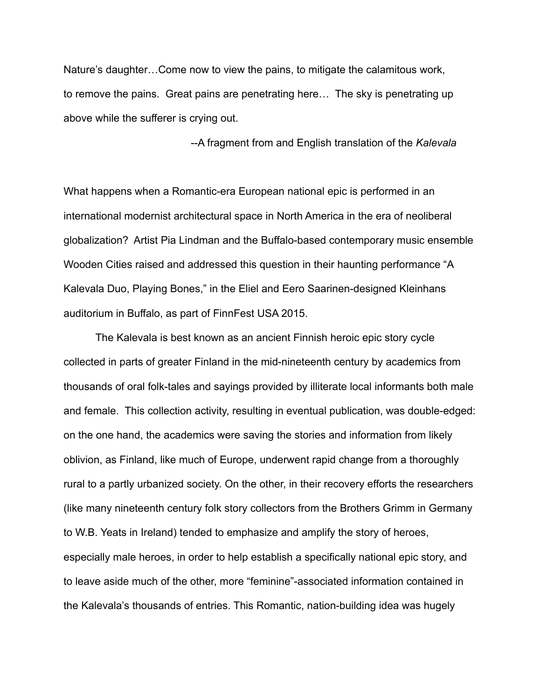Nature's daughter…Come now to view the pains, to mitigate the calamitous work, to remove the pains. Great pains are penetrating here… The sky is penetrating up above while the sufferer is crying out.

--A fragment from and English translation of the *Kalevala*

What happens when a Romantic-era European national epic is performed in an international modernist architectural space in North America in the era of neoliberal globalization? Artist Pia Lindman and the Buffalo-based contemporary music ensemble Wooden Cities raised and addressed this question in their haunting performance "A Kalevala Duo, Playing Bones," in the Eliel and Eero Saarinen-designed Kleinhans auditorium in Buffalo, as part of FinnFest USA 2015.

The Kalevala is best known as an ancient Finnish heroic epic story cycle collected in parts of greater Finland in the mid-nineteenth century by academics from thousands of oral folk-tales and sayings provided by illiterate local informants both male and female. This collection activity, resulting in eventual publication, was double-edged: on the one hand, the academics were saving the stories and information from likely oblivion, as Finland, like much of Europe, underwent rapid change from a thoroughly rural to a partly urbanized society. On the other, in their recovery efforts the researchers (like many nineteenth century folk story collectors from the Brothers Grimm in Germany to W.B. Yeats in Ireland) tended to emphasize and amplify the story of heroes, especially male heroes, in order to help establish a specifically national epic story, and to leave aside much of the other, more "feminine"-associated information contained in the Kalevala's thousands of entries. This Romantic, nation-building idea was hugely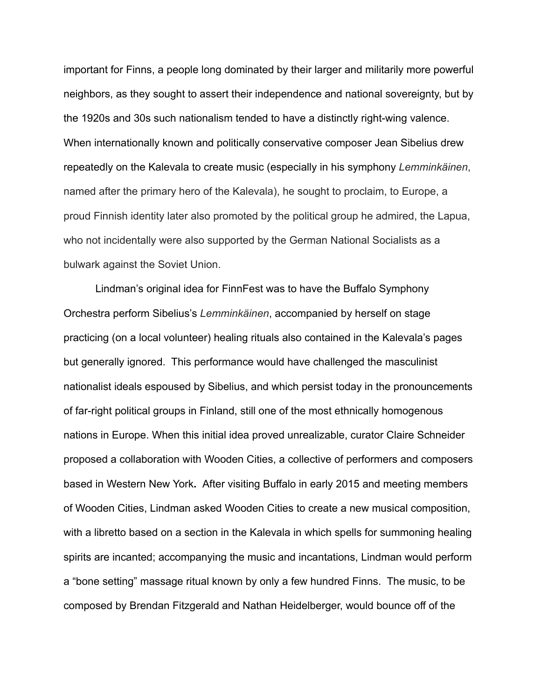important for Finns, a people long dominated by their larger and militarily more powerful neighbors, as they sought to assert their independence and national sovereignty, but by the 1920s and 30s such nationalism tended to have a distinctly right-wing valence. When internationally known and politically conservative composer Jean Sibelius drew repeatedly on the Kalevala to create music (especially in his symphony *Lemminkäinen*, named after the primary hero of the Kalevala), he sought to proclaim, to Europe, a proud Finnish identity later also promoted by the political group he admired, the Lapua, who not incidentally were also supported by the German National Socialists as a bulwark against the Soviet Union.

Lindman's original idea for FinnFest was to have the Buffalo Symphony Orchestra perform Sibelius's *Lemminkäinen*, accompanied by herself on stage practicing (on a local volunteer) healing rituals also contained in the Kalevala's pages but generally ignored. This performance would have challenged the masculinist nationalist ideals espoused by Sibelius, and which persist today in the pronouncements of far-right political groups in Finland, still one of the most ethnically homogenous nations in Europe. When this initial idea proved unrealizable, curator Claire Schneider proposed a collaboration with Wooden Cities, a collective of performers and composers based in Western New York**.** After visiting Buffalo in early 2015 and meeting members of Wooden Cities, Lindman asked Wooden Cities to create a new musical composition, with a libretto based on a section in the Kalevala in which spells for summoning healing spirits are incanted; accompanying the music and incantations, Lindman would perform a "bone setting" massage ritual known by only a few hundred Finns. The music, to be composed by Brendan Fitzgerald and Nathan Heidelberger, would bounce off of the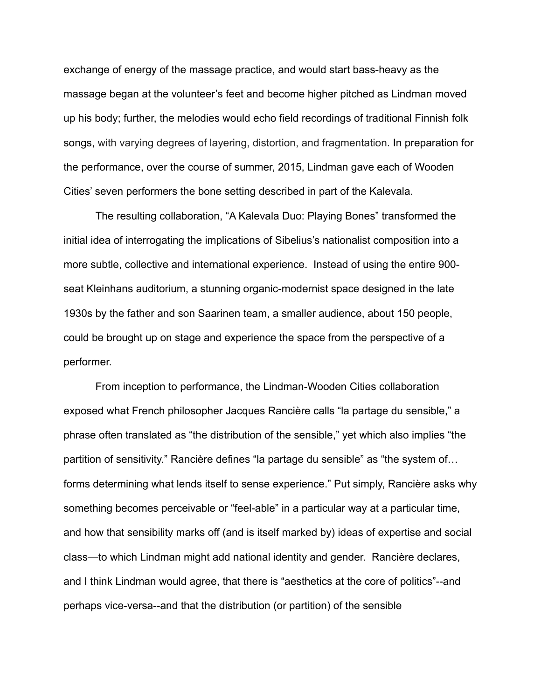exchange of energy of the massage practice, and would start bass-heavy as the massage began at the volunteer's feet and become higher pitched as Lindman moved up his body; further, the melodies would echo field recordings of traditional Finnish folk songs, with varying degrees of layering, distortion, and fragmentation. In preparation for the performance, over the course of summer, 2015, Lindman gave each of Wooden Cities' seven performers the bone setting described in part of the Kalevala.

The resulting collaboration, "A Kalevala Duo: Playing Bones" transformed the initial idea of interrogating the implications of Sibelius's nationalist composition into a more subtle, collective and international experience. Instead of using the entire 900 seat Kleinhans auditorium, a stunning organic-modernist space designed in the late 1930s by the father and son Saarinen team, a smaller audience, about 150 people, could be brought up on stage and experience the space from the perspective of a performer.

From inception to performance, the Lindman-Wooden Cities collaboration exposed what French philosopher Jacques Rancière calls "la partage du sensible," a phrase often translated as "the distribution of the sensible," yet which also implies "the partition of sensitivity." Rancière defines "la partage du sensible" as "the system of… forms determining what lends itself to sense experience." Put simply, Rancière asks why something becomes perceivable or "feel-able" in a particular way at a particular time, and how that sensibility marks off (and is itself marked by) ideas of expertise and social class—to which Lindman might add national identity and gender. Rancière declares, and I think Lindman would agree, that there is "aesthetics at the core of politics"--and perhaps vice-versa--and that the distribution (or partition) of the sensible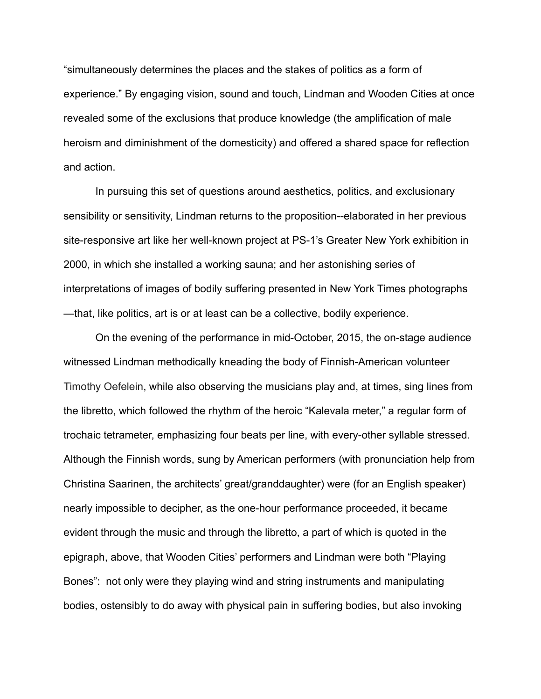"simultaneously determines the places and the stakes of politics as a form of experience." By engaging vision, sound and touch, Lindman and Wooden Cities at once revealed some of the exclusions that produce knowledge (the amplification of male heroism and diminishment of the domesticity) and offered a shared space for reflection and action.

In pursuing this set of questions around aesthetics, politics, and exclusionary sensibility or sensitivity, Lindman returns to the proposition--elaborated in her previous site-responsive art like her well-known project at PS-1's Greater New York exhibition in 2000, in which she installed a working sauna; and her astonishing series of interpretations of images of bodily suffering presented in New York Times photographs —that, like politics, art is or at least can be a collective, bodily experience.

On the evening of the performance in mid-October, 2015, the on-stage audience witnessed Lindman methodically kneading the body of Finnish-American volunteer Timothy Oefelein, while also observing the musicians play and, at times, sing lines from the libretto, which followed the rhythm of the heroic "Kalevala meter," a regular form of trochaic tetrameter, emphasizing four beats per line, with every-other syllable stressed. Although the Finnish words, sung by American performers (with pronunciation help from Christina Saarinen, the architects' great/granddaughter) were (for an English speaker) nearly impossible to decipher, as the one-hour performance proceeded, it became evident through the music and through the libretto, a part of which is quoted in the epigraph, above, that Wooden Cities' performers and Lindman were both "Playing Bones": not only were they playing wind and string instruments and manipulating bodies, ostensibly to do away with physical pain in suffering bodies, but also invoking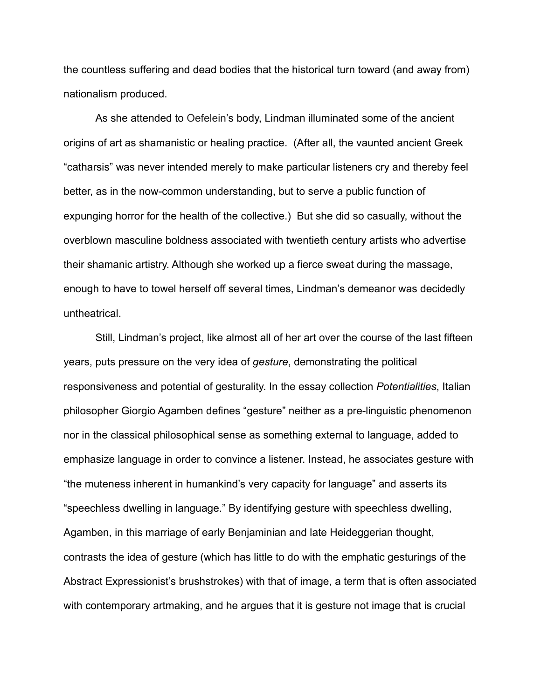the countless suffering and dead bodies that the historical turn toward (and away from) nationalism produced.

As she attended to Oefelein's body, Lindman illuminated some of the ancient origins of art as shamanistic or healing practice. (After all, the vaunted ancient Greek "catharsis" was never intended merely to make particular listeners cry and thereby feel better, as in the now-common understanding, but to serve a public function of expunging horror for the health of the collective.) But she did so casually, without the overblown masculine boldness associated with twentieth century artists who advertise their shamanic artistry. Although she worked up a fierce sweat during the massage, enough to have to towel herself off several times, Lindman's demeanor was decidedly untheatrical.

Still, Lindman's project, like almost all of her art over the course of the last fifteen years, puts pressure on the very idea of *gesture*, demonstrating the political responsiveness and potential of gesturality. In the essay collection *Potentialities*, Italian philosopher Giorgio Agamben defines "gesture" neither as a pre-linguistic phenomenon nor in the classical philosophical sense as something external to language, added to emphasize language in order to convince a listener. Instead, he associates gesture with "the muteness inherent in humankind's very capacity for language" and asserts its "speechless dwelling in language." By identifying gesture with speechless dwelling, Agamben, in this marriage of early Benjaminian and late Heideggerian thought, contrasts the idea of gesture (which has little to do with the emphatic gesturings of the Abstract Expressionist's brushstrokes) with that of image, a term that is often associated with contemporary artmaking, and he argues that it is gesture not image that is crucial